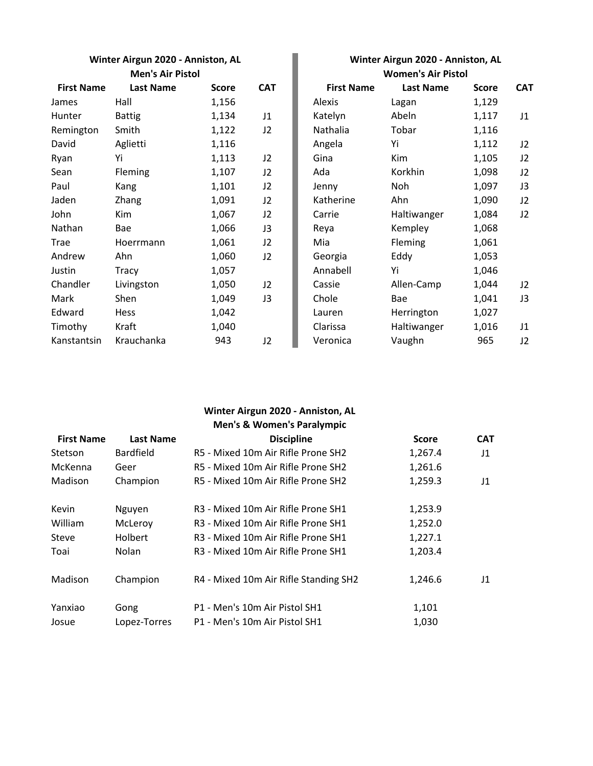**Winter Airgun 2020 - Anniston, AL Winter Airgun 2020 - Anniston, AL Men's Air Pistol** 

| <b>First Name</b> | <b>Last Name</b> | <b>Score</b> | <b>CAT</b> | <b>First Name</b> | <b>Last Name</b> | <b>Score</b> | <b>CAT</b> |
|-------------------|------------------|--------------|------------|-------------------|------------------|--------------|------------|
| James             | Hall             | 1,156        |            | Alexis            | Lagan            | 1,129        |            |
| Hunter            | <b>Battig</b>    | 1,134        | J1         | Katelyn           | Abeln            | 1,117        | J1         |
| Remington         | Smith            | 1,122        | J2         | Nathalia          | Tobar            | 1,116        |            |
| David             | Aglietti         | 1,116        |            | Angela            | Yi               | 1,112        | J2         |
| Ryan              | Yi               | 1,113        | J2         | Gina              | Kim              | 1,105        | J2         |
| Sean              | Fleming          | 1,107        | J2         | Ada               | Korkhin          | 1,098        | J2         |
| Paul              | Kang             | 1,101        | J2         | Jenny             | Noh              | 1,097        | J3         |
| Jaden             | Zhang            | 1,091        | J2         | Katherine         | Ahn              | 1,090        | J2         |
| John              | Kim              | 1,067        | J2         | Carrie            | Haltiwanger      | 1,084        | J2         |
| Nathan            | Bae              | 1,066        | J3         | Reya              | Kempley          | 1,068        |            |
| Trae              | Hoerrmann        | 1,061        | J2         | Mia               | Fleming          | 1,061        |            |
| Andrew            | Ahn              | 1,060        | J2         | Georgia           | Eddy             | 1,053        |            |
| Justin            | Tracy            | 1,057        |            | Annabell          | Yi               | 1,046        |            |
| Chandler          | Livingston       | 1,050        | J2         | Cassie            | Allen-Camp       | 1,044        | J2         |
| Mark              | Shen             | 1,049        | J3         | Chole             | Bae              | 1,041        | J3         |
| Edward            | Hess             | 1,042        |            | Lauren            | Herrington       | 1,027        |            |
| Timothy           | Kraft            | 1,040        |            | Clarissa          | Haltiwanger      | 1,016        | J1         |
| Kanstantsin       | Krauchanka       | 943          | J2         | Veronica          | Vaughn           | 965          | J2         |

|                           | $\frac{1}{2}$    |              |              |  |  |
|---------------------------|------------------|--------------|--------------|--|--|
| <b>Women's Air Pistol</b> |                  |              |              |  |  |
| <b>First Name</b>         | <b>Last Name</b> | <b>Score</b> | <b>CAT</b>   |  |  |
| Alexis                    | Lagan            | 1,129        |              |  |  |
| Katelyn                   | Abeln            | 1,117        | J1           |  |  |
| Nathalia                  | Tobar            | 1,116        |              |  |  |
| Angela                    | Yi               | 1,112        | J2           |  |  |
| Gina                      | Kim              | 1,105        | J2           |  |  |
| Ada                       | Korkhin          | 1,098        | J2           |  |  |
| Jenny                     | Noh              | 1,097        | J3           |  |  |
| Katherine                 | Ahn              | 1,090        | J2           |  |  |
| Carrie                    | Haltiwanger      | 1,084        | J2           |  |  |
| Reya                      | Kempley          | 1,068        |              |  |  |
| Mia                       | Fleming          | 1,061        |              |  |  |
| Georgia                   | Eddy             | 1,053        |              |  |  |
| Annabell                  | Yi               | 1,046        |              |  |  |
| Cassie                    | Allen-Camp       | 1,044        | J2           |  |  |
| Chole                     | Bae              | 1,041        | J3           |  |  |
| Lauren                    | Herrington       | 1,027        |              |  |  |
| Clarissa                  | Haltiwanger      | 1,016        | J1           |  |  |
| Veronica                  | Vaughn           | 965          | $12^{\circ}$ |  |  |

## **First Name Last Name CAT CAT CAT CAT CAT** Stetson Bardfield R5 - Mixed 10m Air Rifle Prone SH2 1,267.4 J1 McKenna Geer R5 - Mixed 10m Air Rifle Prone SH2 1,261.6 Madison Champion R5 - Mixed 10m Air Rifle Prone SH2 1,259.3 J1 Kevin Mguyen R3 - Mixed 10m Air Rifle Prone SH1 1,253.9 William McLeroy R3 - Mixed 10m Air Rifle Prone SH1 1,252.0 Steve Holbert R3 - Mixed 10m Air Rifle Prone SH1 1,227.1 Toai Nolan R3 - Mixed 10m Air Rifle Prone SH1 1,203.4 **Discipline Men's & Women's Paralympic Winter Airgun 2020 - Anniston, AL**

| TUdi    | <b>NUICHI</b> | <b>EXAMPLE SHIP FINISH - CA</b>       | L,ZUJ.4 |    |
|---------|---------------|---------------------------------------|---------|----|
| Madison | Champion      | R4 - Mixed 10m Air Rifle Standing SH2 | 1,246.6 | 11 |
| Yanxiao | Gong          | P1 - Men's 10m Air Pistol SH1         | 1,101   |    |
| Josue   | Lopez-Torres  | P1 - Men's 10m Air Pistol SH1         | 1,030   |    |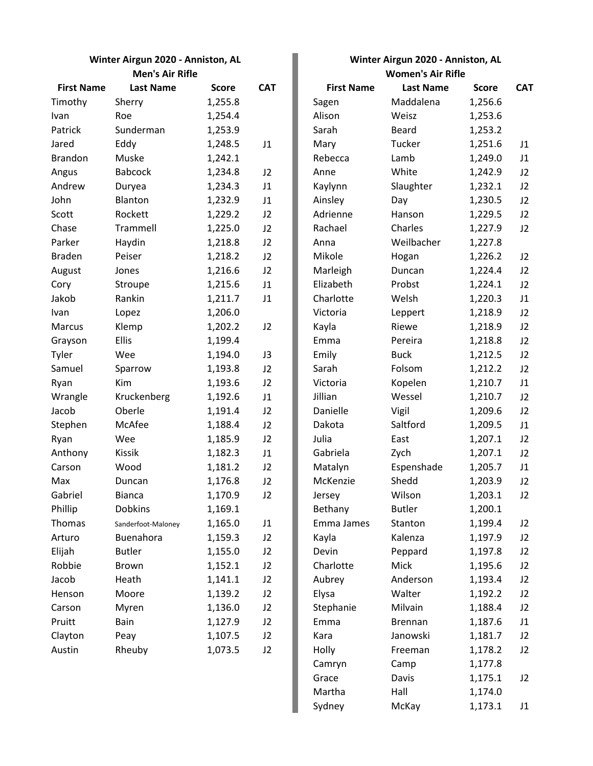| <b>First Name</b> | <b>Last Name</b>   | <b>Score</b> | <b>CAT</b> | <b>First Name</b> | <b>Last Name</b> | <b>Score</b> | <b>CAT</b> |
|-------------------|--------------------|--------------|------------|-------------------|------------------|--------------|------------|
| Timothy           | Sherry             | 1,255.8      |            | Sagen             | Maddalena        | 1,256.6      |            |
| Ivan              | Roe                | 1,254.4      |            | Alison            | Weisz            | 1,253.6      |            |
| Patrick           | Sunderman          | 1,253.9      |            | Sarah             | <b>Beard</b>     | 1,253.2      |            |
| Jared             | Eddy               | 1,248.5      | J1         | Mary              | Tucker           | 1,251.6      | J1         |
| <b>Brandon</b>    | Muske              | 1,242.1      |            | Rebecca           | Lamb             | 1,249.0      | J1         |
| Angus             | <b>Babcock</b>     | 1,234.8      | J2         | Anne              | White            | 1,242.9      | J2         |
| Andrew            | Duryea             | 1,234.3      | J1         | Kaylynn           | Slaughter        | 1,232.1      | J2         |
| John              | Blanton            | 1,232.9      | J1         | Ainsley           | Day              | 1,230.5      | J2         |
| Scott             | Rockett            | 1,229.2      | J2         | Adrienne          | Hanson           | 1,229.5      | J2         |
| Chase             | Trammell           | 1,225.0      | J2         | Rachael           | Charles          | 1,227.9      | J2         |
| Parker            | Haydin             | 1,218.8      | J2         | Anna              | Weilbacher       | 1,227.8      |            |
| <b>Braden</b>     | Peiser             | 1,218.2      | J2         | Mikole            | Hogan            | 1,226.2      | J2         |
| August            | Jones              | 1,216.6      | J2         | Marleigh          | Duncan           | 1,224.4      | J2         |
| Cory              | Stroupe            | 1,215.6      | J1         | Elizabeth         | Probst           | 1,224.1      | J2         |
| Jakob             | Rankin             | 1,211.7      | J1         | Charlotte         | Welsh            | 1,220.3      | J1         |
| Ivan              | Lopez              | 1,206.0      |            | Victoria          | Leppert          | 1,218.9      | J2         |
| Marcus            | Klemp              | 1,202.2      | J2         | Kayla             | Riewe            | 1,218.9      | J2         |
| Grayson           | Ellis              | 1,199.4      |            | Emma              | Pereira          | 1,218.8      | J2         |
| Tyler             | Wee                | 1,194.0      | J3         | Emily             | <b>Buck</b>      | 1,212.5      | J2         |
| Samuel            | Sparrow            | 1,193.8      | J2         | Sarah             | Folsom           | 1,212.2      | J2         |
| Ryan              | Kim                | 1,193.6      | J2         | Victoria          | Kopelen          | 1,210.7      | J1         |
| Wrangle           | Kruckenberg        | 1,192.6      | J1         | Jillian           | Wessel           | 1,210.7      | J2         |
| Jacob             | Oberle             | 1,191.4      | J2         | Danielle          | Vigil            | 1,209.6      | J2         |
| Stephen           | McAfee             | 1,188.4      | J2         | Dakota            | Saltford         | 1,209.5      | J1         |
| Ryan              | Wee                | 1,185.9      | J2         | Julia             | East             | 1,207.1      | J2         |
| Anthony           | <b>Kissik</b>      | 1,182.3      | J1         | Gabriela          | Zych             | 1,207.1      | J2         |
| Carson            | Wood               | 1,181.2      | J2         | Matalyn           | Espenshade       | 1,205.7      | J1         |
| Max               | Duncan             | 1,176.8      | J2         | McKenzie          | Shedd            | 1,203.9      | J2         |
| Gabriel           | <b>Bianca</b>      | 1,170.9      | J2         | Jersey            | Wilson           | 1,203.1      | J2         |
| Phillip           | <b>Dobkins</b>     | 1,169.1      |            | <b>Bethany</b>    | <b>Butler</b>    | 1,200.1      |            |
| Thomas            | Sanderfoot-Maloney | 1,165.0      | J1         | Emma James        | Stanton          | 1,199.4      | J2         |
| Arturo            | Buenahora          | 1,159.3      | J2         | Kayla             | Kalenza          | 1,197.9      | J2         |
| Elijah            | <b>Butler</b>      | 1,155.0      | J2         | Devin             | Peppard          | 1,197.8      | J2         |
| Robbie            | Brown              | 1,152.1      | J2         | Charlotte         | Mick             | 1,195.6      | J2         |
| Jacob             | Heath              | 1,141.1      | J2         | Aubrey            | Anderson         | 1,193.4      | J2         |
| Henson            | Moore              | 1,139.2      | J2         | Elysa             | Walter           | 1,192.2      | J2         |
| Carson            | Myren              | 1,136.0      | J2         | Stephanie         | Milvain          | 1,188.4      | J2         |
| Pruitt            | Bain               | 1,127.9      | J2         | Emma              | Brennan          | 1,187.6      | J1         |
| Clayton           | Peay               | 1,107.5      | J2         | Kara              | Janowski         | 1,181.7      | J2         |
| Austin            | Rheuby             | 1,073.5      | J2         | Holly             | Freeman          | 1,178.2      | J2         |

## **Winter Airgun 2020 - Anniston, AL Winter Airgun 2020 - Anniston, AL Men's Air Rifle Women's Air Rifle**

| <b>First Name</b> | <b>Last Name</b> | <b>Score</b> | <b>CAT</b> |
|-------------------|------------------|--------------|------------|
| Sagen             | Maddalena        | 1,256.6      |            |
| Alison            | Weisz            | 1,253.6      |            |
| Sarah             | Beard            | 1,253.2      |            |
| Mary              | Tucker           | 1,251.6      | J1         |
| Rebecca           | Lamb             | 1,249.0      | J1         |
| Anne              | White            | 1,242.9      | J2         |
| Kaylynn           | Slaughter        | 1,232.1      | J2         |
| Ainsley           | Day              | 1,230.5      | J2         |
| Adrienne          | Hanson           | 1,229.5      | J2         |
| Rachael           | Charles          | 1,227.9      | J2         |
| Anna              | Weilbacher       | 1,227.8      |            |
| Mikole            | Hogan            | 1,226.2      | J2         |
| Marleigh          | Duncan           | 1,224.4      | J2         |
| Elizabeth         | Probst           | 1,224.1      | J2         |
| Charlotte         | Welsh            | 1,220.3      | J1         |
| Victoria          | Leppert          | 1,218.9      | J2         |
| Kayla             | Riewe            | 1,218.9      | J2         |
| Emma              | Pereira          | 1,218.8      | J2         |
| Emily             | <b>Buck</b>      | 1,212.5      | J2         |
| Sarah             | Folsom           | 1,212.2      | J2         |
| Victoria          | Kopelen          | 1,210.7      | J1         |
| Jillian           | Wessel           | 1,210.7      | J2         |
| Danielle          | Vigil            | 1,209.6      | J2         |
| Dakota            | Saltford         | 1,209.5      | J1         |
| Julia             | East             | 1,207.1      | J2         |
| Gabriela          | Zych             | 1,207.1      | J2         |
| Matalyn           | Espenshade       | 1,205.7      | J1         |
| McKenzie          | Shedd            | 1,203.9      | J2         |
| Jersey            | Wilson           | 1,203.1      | J2         |
| Bethany           | Butler           | 1,200.1      |            |
| Emma James        | Stanton          | 1,199.4      | J2         |
| Kayla             | Kalenza          | 1,197.9      | J2         |
| Devin             | Peppard          | 1,197.8      | J2         |
| Charlotte         | Mick             | 1,195.6      | J2         |
| Aubrey            | Anderson         | 1,193.4      | J2         |
| Elysa             | Walter           | 1,192.2      | J2         |
| Stephanie         | Milvain          | 1,188.4      | J2         |
| Emma              | <b>Brennan</b>   | 1,187.6      | J1         |
| Kara              | Janowski         | 1,181.7      | J2         |
| Holly             | Freeman          | 1,178.2      | J2         |
| Camryn            | Camp             | 1,177.8      |            |
| Grace             | Davis            | 1,175.1      | J2         |
| Martha            | Hall             | 1,174.0      |            |
| Sydney            | McKay            | 1,173.1      | J1         |